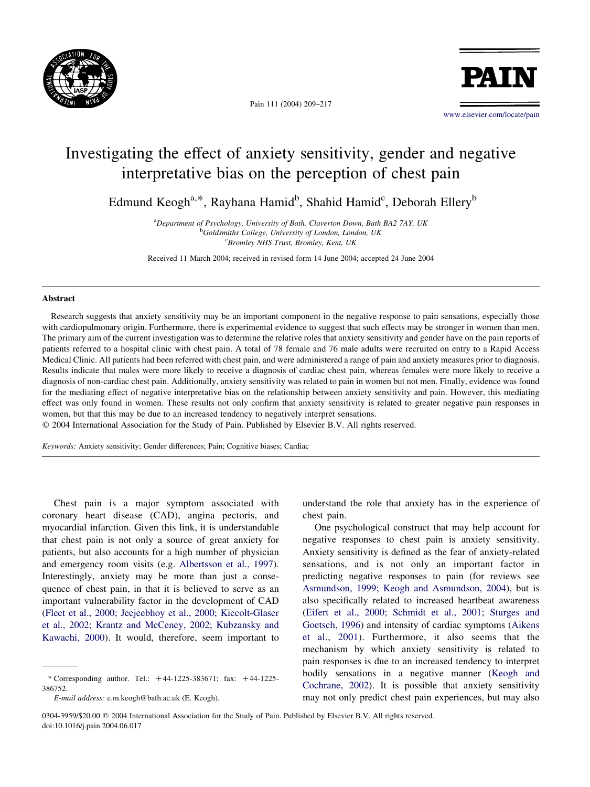

Pain 111 (2004) 209–217

**PATI** 

[www.elsevier.com/locate/pain](http://www.elsevier.com/locate/pain)

# Investigating the effect of anxiety sensitivity, gender and negative interpretative bias on the perception of chest pain

Edmund Keogh<sup>a,\*</sup>, Rayhana Hamid<sup>b</sup>, Shahid Hamid<sup>c</sup>, Deborah Ellery<sup>b</sup>

<sup>a</sup>Department of Psychology, University of Bath, Claverton Down, Bath BA2 7AY, UK <sup>b</sup>Goldsmiths College, University of London, London, UK c Bromley NHS Trust, Bromley, Kent, UK

Received 11 March 2004; received in revised form 14 June 2004; accepted 24 June 2004

### Abstract

Research suggests that anxiety sensitivity may be an important component in the negative response to pain sensations, especially those with cardiopulmonary origin. Furthermore, there is experimental evidence to suggest that such effects may be stronger in women than men. The primary aim of the current investigation was to determine the relative roles that anxiety sensitivity and gender have on the pain reports of patients referred to a hospital clinic with chest pain. A total of 78 female and 76 male adults were recruited on entry to a Rapid Access Medical Clinic. All patients had been referred with chest pain, and were administered a range of pain and anxiety measures prior to diagnosis. Results indicate that males were more likely to receive a diagnosis of cardiac chest pain, whereas females were more likely to receive a diagnosis of non-cardiac chest pain. Additionally, anxiety sensitivity was related to pain in women but not men. Finally, evidence was found for the mediating effect of negative interpretative bias on the relationship between anxiety sensitivity and pain. However, this mediating effect was only found in women. These results not only confirm that anxiety sensitivity is related to greater negative pain responses in women, but that this may be due to an increased tendency to negatively interpret sensations.

 $© 2004 International Association for the Study of Pain. Published by Elsevier B.V. All rights reserved.$ 

Keywords: Anxiety sensitivity; Gender differences; Pain; Cognitive biases; Cardiac

Chest pain is a major symptom associated with coronary heart disease (CAD), angina pectoris, and myocardial infarction. Given this link, it is understandable that chest pain is not only a source of great anxiety for patients, but also accounts for a high number of physician and emergency room visits (e.g. [Albertsson et al., 1997\)](#page--1-0). Interestingly, anxiety may be more than just a consequence of chest pain, in that it is believed to serve as an important vulnerability factor in the development of CAD ([Fleet et al., 2000; Jeejeebhoy et al., 2000; Kiecolt-Glaser](#page--1-0) [et al., 2002; Krantz and McCeney, 2002; Kubzansky and](#page--1-0) [Kawachi, 2000\)](#page--1-0). It would, therefore, seem important to

understand the role that anxiety has in the experience of chest pain.

One psychological construct that may help account for negative responses to chest pain is anxiety sensitivity. Anxiety sensitivity is defined as the fear of anxiety-related sensations, and is not only an important factor in predicting negative responses to pain (for reviews see [Asmundson, 1999; Keogh and Asmundson, 2004\)](#page--1-0), but is also specifically related to increased heartbeat awareness ([Eifert et al., 2000; Schmidt et al., 2001; Sturges and](#page--1-0) [Goetsch, 1996\)](#page--1-0) and intensity of cardiac symptoms [\(Aikens](#page--1-0) [et al., 2001\)](#page--1-0). Furthermore, it also seems that the mechanism by which anxiety sensitivity is related to pain responses is due to an increased tendency to interpret bodily sensations in a negative manner [\(Keogh and](#page--1-0) [Cochrane, 2002](#page--1-0)). It is possible that anxiety sensitivity may not only predict chest pain experiences, but may also

<sup>\*</sup> Corresponding author. Tel.:  $+44-1225-383671$ ; fax:  $+44-1225-$ 386752.

E-mail address: e.m.keogh@bath.ac.uk (E. Keogh).

<sup>0304-3959/\$20.00</sup> q 2004 International Association for the Study of Pain. Published by Elsevier B.V. All rights reserved. doi:10.1016/j.pain.2004.06.017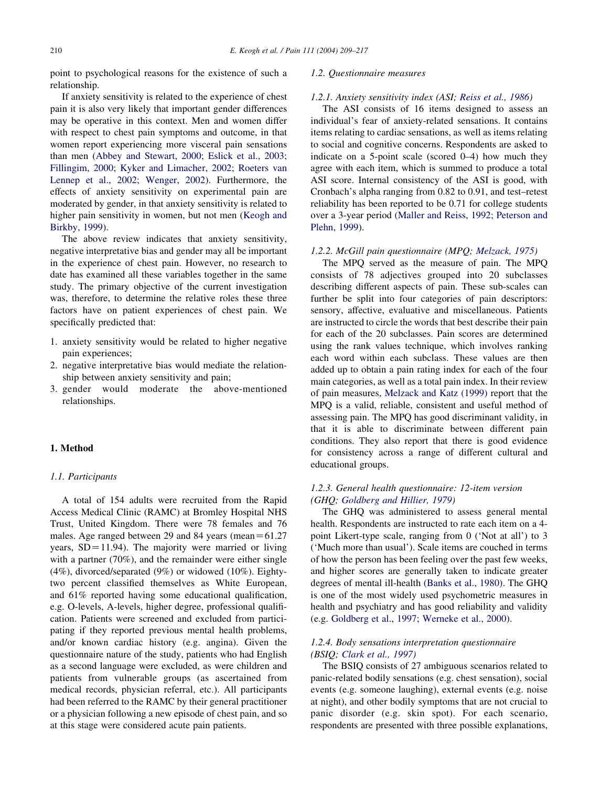point to psychological reasons for the existence of such a relationship.

If anxiety sensitivity is related to the experience of chest pain it is also very likely that important gender differences may be operative in this context. Men and women differ with respect to chest pain symptoms and outcome, in that women report experiencing more visceral pain sensations than men ([Abbey and Stewart, 2000; Eslick et al., 2003;](#page--1-0) [Fillingim, 2000; Kyker and Limacher, 2002; Roeters van](#page--1-0) [Lennep et al., 2002; Wenger, 2002](#page--1-0)). Furthermore, the effects of anxiety sensitivity on experimental pain are moderated by gender, in that anxiety sensitivity is related to higher pain sensitivity in women, but not men ([Keogh and](#page--1-0) [Birkby, 1999\)](#page--1-0).

The above review indicates that anxiety sensitivity, negative interpretative bias and gender may all be important in the experience of chest pain. However, no research to date has examined all these variables together in the same study. The primary objective of the current investigation was, therefore, to determine the relative roles these three factors have on patient experiences of chest pain. We specifically predicted that:

- 1. anxiety sensitivity would be related to higher negative pain experiences;
- 2. negative interpretative bias would mediate the relationship between anxiety sensitivity and pain;
- 3. gender would moderate the above-mentioned relationships.

### 1. Method

#### 1.1. Participants

A total of 154 adults were recruited from the Rapid Access Medical Clinic (RAMC) at Bromley Hospital NHS Trust, United Kingdom. There were 78 females and 76 males. Age ranged between 29 and 84 years (mean= $61.27$ years,  $SD = 11.94$ ). The majority were married or living with a partner (70%), and the remainder were either single  $(4\%)$ , divorced/separated  $(9\%)$  or widowed  $(10\%)$ . Eightytwo percent classified themselves as White European, and 61% reported having some educational qualification, e.g. O-levels, A-levels, higher degree, professional qualification. Patients were screened and excluded from participating if they reported previous mental health problems, and/or known cardiac history (e.g. angina). Given the questionnaire nature of the study, patients who had English as a second language were excluded, as were children and patients from vulnerable groups (as ascertained from medical records, physician referral, etc.). All participants had been referred to the RAMC by their general practitioner or a physician following a new episode of chest pain, and so at this stage were considered acute pain patients.

## 1.2. Questionnaire measures

#### 1.2.1. Anxiety sensitivity index (ASI; [Reiss et al., 1986](#page--1-0))

The ASI consists of 16 items designed to assess an individual's fear of anxiety-related sensations. It contains items relating to cardiac sensations, as well as items relating to social and cognitive concerns. Respondents are asked to indicate on a 5-point scale (scored 0–4) how much they agree with each item, which is summed to produce a total ASI score. Internal consistency of the ASI is good, with Cronbach's alpha ranging from 0.82 to 0.91, and test–retest reliability has been reported to be 0.71 for college students over a 3-year period ([Maller and Reiss, 1992; Peterson and](#page--1-0) [Plehn, 1999\)](#page--1-0).

#### 1.2.2. McGill pain questionnaire (MPQ; [Melzack, 1975](#page--1-0))

The MPQ served as the measure of pain. The MPQ consists of 78 adjectives grouped into 20 subclasses describing different aspects of pain. These sub-scales can further be split into four categories of pain descriptors: sensory, affective, evaluative and miscellaneous. Patients are instructed to circle the words that best describe their pain for each of the 20 subclasses. Pain scores are determined using the rank values technique, which involves ranking each word within each subclass. These values are then added up to obtain a pain rating index for each of the four main categories, as well as a total pain index. In their review of pain measures, [Melzack and Katz \(1999\)](#page--1-0) report that the MPQ is a valid, reliable, consistent and useful method of assessing pain. The MPQ has good discriminant validity, in that it is able to discriminate between different pain conditions. They also report that there is good evidence for consistency across a range of different cultural and educational groups.

## 1.2.3. General health questionnaire: 12-item version (GHQ; [Goldberg and Hillier, 1979](#page--1-0))

The GHQ was administered to assess general mental health. Respondents are instructed to rate each item on a 4 point Likert-type scale, ranging from 0 ('Not at all') to 3 ('Much more than usual'). Scale items are couched in terms of how the person has been feeling over the past few weeks, and higher scores are generally taken to indicate greater degrees of mental ill-health ([Banks et al., 1980](#page--1-0)). The GHQ is one of the most widely used psychometric measures in health and psychiatry and has good reliability and validity (e.g. [Goldberg et al., 1997; Werneke et al., 2000](#page--1-0)).

## 1.2.4. Body sensations interpretation questionnaire (BSIQ; [Clark et al., 1997\)](#page--1-0)

The BSIQ consists of 27 ambiguous scenarios related to panic-related bodily sensations (e.g. chest sensation), social events (e.g. someone laughing), external events (e.g. noise at night), and other bodily symptoms that are not crucial to panic disorder (e.g. skin spot). For each scenario, respondents are presented with three possible explanations,